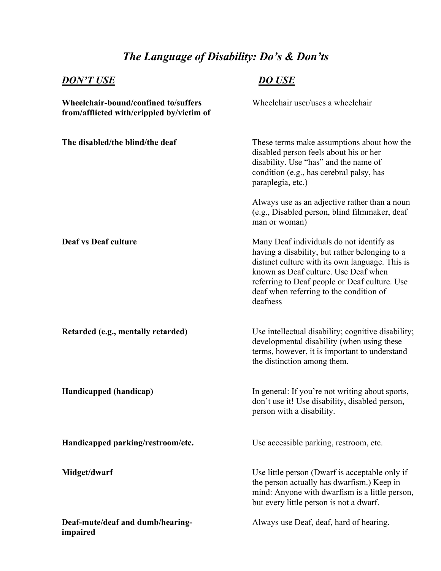## *The Language of Disability: Do's & Don'ts*

## *DON'T USE DO USE*

| Wheelchair-bound/confined to/suffers<br>from/afflicted with/crippled by/victim of | Wheelchair user/uses a wheelchair                                                                                                                                                                                                                                                             |
|-----------------------------------------------------------------------------------|-----------------------------------------------------------------------------------------------------------------------------------------------------------------------------------------------------------------------------------------------------------------------------------------------|
| The disabled/the blind/the deaf                                                   | These terms make assumptions about how the.<br>disabled person feels about his or her<br>disability. Use "has" and the name of<br>condition (e.g., has cerebral palsy, has<br>paraplegia, etc.)                                                                                               |
|                                                                                   | Always use as an adjective rather than a noun<br>(e.g., Disabled person, blind filmmaker, deaf<br>man or woman)                                                                                                                                                                               |
| <b>Deaf vs Deaf culture</b>                                                       | Many Deaf individuals do not identify as<br>having a disability, but rather belonging to a<br>distinct culture with its own language. This is<br>known as Deaf culture. Use Deaf when<br>referring to Deaf people or Deaf culture. Use<br>deaf when referring to the condition of<br>deafness |
| Retarded (e.g., mentally retarded)                                                | Use intellectual disability; cognitive disability;<br>developmental disability (when using these<br>terms, however, it is important to understand<br>the distinction among them.                                                                                                              |
| Handicapped (handicap)                                                            | In general: If you're not writing about sports,<br>don't use it! Use disability, disabled person,<br>person with a disability.                                                                                                                                                                |
| Handicapped parking/restroom/etc.                                                 | Use accessible parking, restroom, etc.                                                                                                                                                                                                                                                        |
| Midget/dwarf                                                                      | Use little person (Dwarf is acceptable only if<br>the person actually has dwarfism.) Keep in<br>mind: Anyone with dwarfism is a little person,<br>but every little person is not a dwarf.                                                                                                     |
| Deaf-mute/deaf and dumb/hearing-<br>impaired                                      | Always use Deaf, deaf, hard of hearing.                                                                                                                                                                                                                                                       |